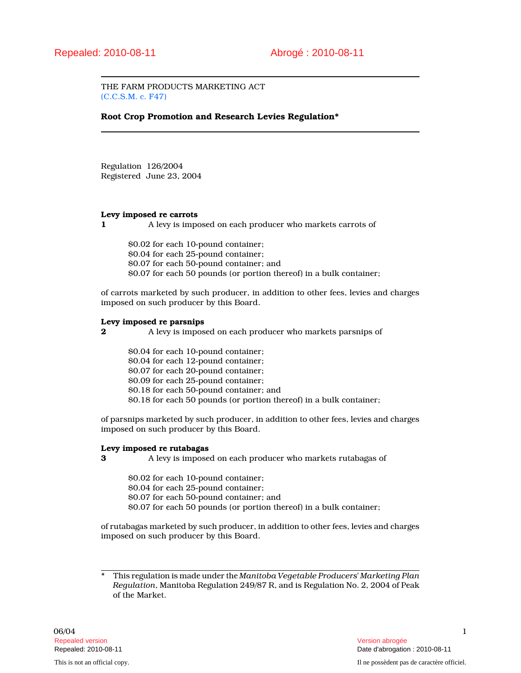THE FARM PRODUCTS MARKETING ACT (C.C.S.M. c. F47)

Root Crop Promotion and Research Levies Regulation\*

Regulation 126/2004 Registered June 23, 2004

#### Levy imposed re carrots

1 A levy is imposed on each producer who markets carrots of

\$0.02 for each 10-pound container; \$0.04 for each 25-pound container; \$0.07 for each 50-pound container; and \$0.07 for each 50 pounds (or portion thereof) in a bulk container;

of carrots marketed by such producer, in addition to other fees, levies and charges imposed on such producer by this Board.

### Levy imposed re parsnips

2 A levy is imposed on each producer who markets parsnips of

\$0.04 for each 10-pound container; \$0.04 for each 12-pound container; \$0.07 for each 20-pound container; \$0.09 for each 25-pound container; \$0.18 for each 50-pound container; and \$0.18 for each 50 pounds (or portion thereof) in a bulk container;

of parsnips marketed by such producer, in addition to other fees, levies and charges imposed on such producer by this Board.

## Levy imposed re rutabagas

**3** A levy is imposed on each producer who markets rutabagas of

\$0.02 for each 10-pound container; \$0.04 for each 25-pound container; \$0.07 for each 50-pound container; and \$0.07 for each 50 pounds (or portion thereof) in a bulk container;

of rutabagas marketed by such producer, in addition to other fees, levies and charges imposed on such producer by this Board.

This regulation is made under the Manitoba Vegetable Producers' Marketing Plan Regulation, Manitoba Regulation 249/87 R, and is Regulation No. 2, 2004 of Peak of the Market.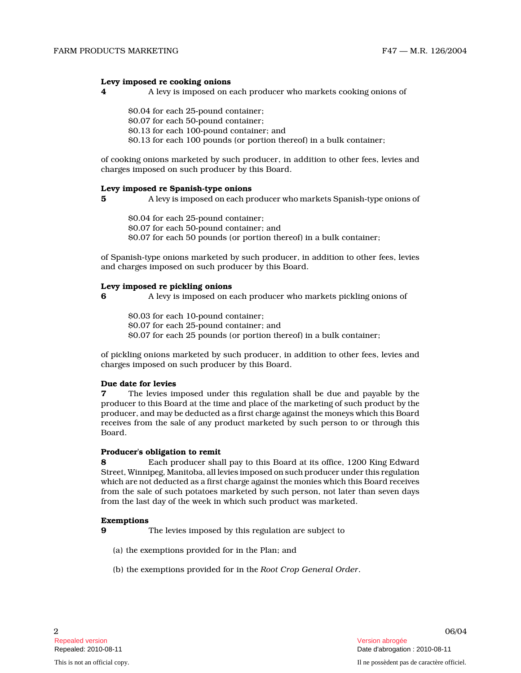## Levy imposed re cooking onions

- 4 A levy is imposed on each producer who markets cooking onions of
	- \$0.04 for each 25-pound container; \$0.07 for each 50-pound container; \$0.13 for each 100-pound container; and \$0.13 for each 100 pounds (or portion thereof) in a bulk container;

of cooking onions marketed by such producer, in addition to other fees, levies and charges imposed on such producer by this Board.

#### Levy imposed re Spanish-type onions

5 A levy is imposed on each producer who markets Spanish-type onions of

\$0.04 for each 25-pound container; \$0.07 for each 50-pound container; and \$0.07 for each 50 pounds (or portion thereof) in a bulk container;

of Spanish-type onions marketed by such producer, in addition to other fees, levies and charges imposed on such producer by this Board.

### Levy imposed re pickling onions

6 A levy is imposed on each producer who markets pickling onions of

\$0.03 for each 10-pound container; \$0.07 for each 25-pound container; and \$0.07 for each 25 pounds (or portion thereof) in a bulk container;

of pickling onions marketed by such producer, in addition to other fees, levies and charges imposed on such producer by this Board.

### Due date for levies

7 The levies imposed under this regulation shall be due and payable by the producer to this Board at the time and place of the marketing of such product by the producer, and may be deducted as a first charge against the moneys which this Board receives from the sale of any product marketed by such person to or through this Board.

### Producer's obligation to remit

8 Each producer shall pay to this Board at its office, 1200 King Edward Street, Winnipeg, Manitoba, all levies imposed on such producer under this regulation which are not deducted as a first charge against the monies which this Board receives from the sale of such potatoes marketed by such person, not later than seven days from the last day of the week in which such product was marketed.

### Exemptions

- 9 The levies imposed by this regulation are subject t o
	- (a) the exemptions provided for in the Plan; and
	- (b) the exemptions provided for in the Root Crop General Order .